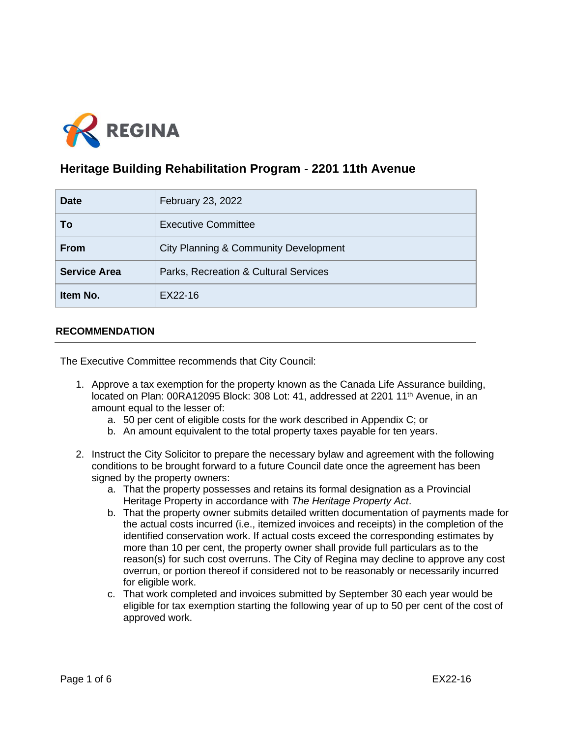

# **Heritage Building Rehabilitation Program - 2201 11th Avenue**

| <b>Date</b>         | February 23, 2022                     |
|---------------------|---------------------------------------|
| To                  | <b>Executive Committee</b>            |
| <b>From</b>         | City Planning & Community Development |
| <b>Service Area</b> | Parks, Recreation & Cultural Services |
| Item No.            | EX22-16                               |

## **RECOMMENDATION**

The Executive Committee recommends that City Council:

- 1. Approve a tax exemption for the property known as the Canada Life Assurance building, located on Plan: 00RA12095 Block: 308 Lot: 41, addressed at 2201 11<sup>th</sup> Avenue, in an amount equal to the lesser of:
	- a. 50 per cent of eligible costs for the work described in Appendix C; or
	- b. An amount equivalent to the total property taxes payable for ten years.
- 2. Instruct the City Solicitor to prepare the necessary bylaw and agreement with the following conditions to be brought forward to a future Council date once the agreement has been signed by the property owners:
	- a. That the property possesses and retains its formal designation as a Provincial Heritage Property in accordance with *The Heritage Property Act*.
	- b. That the property owner submits detailed written documentation of payments made for the actual costs incurred (i.e., itemized invoices and receipts) in the completion of the identified conservation work. If actual costs exceed the corresponding estimates by more than 10 per cent, the property owner shall provide full particulars as to the reason(s) for such cost overruns. The City of Regina may decline to approve any cost overrun, or portion thereof if considered not to be reasonably or necessarily incurred for eligible work.
	- c. That work completed and invoices submitted by September 30 each year would be eligible for tax exemption starting the following year of up to 50 per cent of the cost of approved work.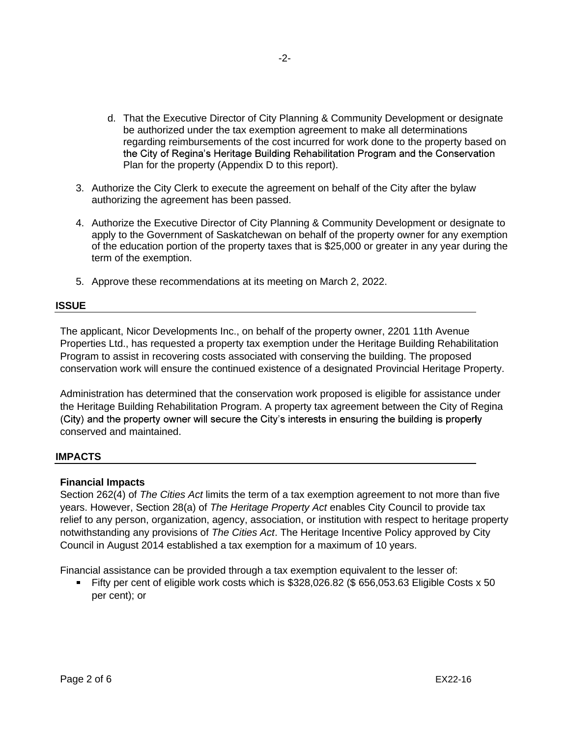- d. That the Executive Director of City Planning & Community Development or designate be authorized under the tax exemption agreement to make all determinations regarding reimbursements of the cost incurred for work done to the property based on the City of Regina's Heritage Building Rehabilitation Program and the Conservation Plan for the property (Appendix D to this report).
- 3. Authorize the City Clerk to execute the agreement on behalf of the City after the bylaw authorizing the agreement has been passed.
- 4. Authorize the Executive Director of City Planning & Community Development or designate to apply to the Government of Saskatchewan on behalf of the property owner for any exemption of the education portion of the property taxes that is \$25,000 or greater in any year during the term of the exemption.
- 5. Approve these recommendations at its meeting on March 2, 2022.

#### **ISSUE**

The applicant, Nicor Developments Inc., on behalf of the property owner, 2201 11th Avenue Properties Ltd., has requested a property tax exemption under the Heritage Building Rehabilitation Program to assist in recovering costs associated with conserving the building. The proposed conservation work will ensure the continued existence of a designated Provincial Heritage Property.

Administration has determined that the conservation work proposed is eligible for assistance under the Heritage Building Rehabilitation Program. A property tax agreement between the City of Regina (City) and the property owner will secure the City's interests in ensuring the building is properly conserved and maintained.

## **IMPACTS**

## **Financial Impacts**

Section 262(4) of *The Cities Act* limits the term of a tax exemption agreement to not more than five years. However, Section 28(a) of *The Heritage Property Act* enables City Council to provide tax relief to any person, organization, agency, association, or institution with respect to heritage property notwithstanding any provisions of *The Cities Act*. The Heritage Incentive Policy approved by City Council in August 2014 established a tax exemption for a maximum of 10 years.

Financial assistance can be provided through a tax exemption equivalent to the lesser of:

Fifty per cent of eligible work costs which is  $$328,026.82$  (\$ 656,053.63 Eligible Costs x 50 per cent); or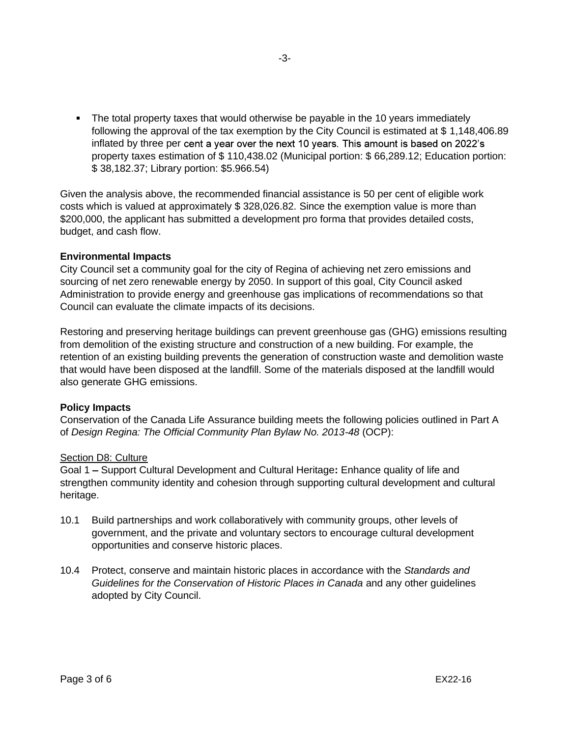• The total property taxes that would otherwise be payable in the 10 years immediately following the approval of the tax exemption by the City Council is estimated at \$ 1,148,406.89 inflated by three per cent a year over the next 10 years. This amount is based on 2022's property taxes estimation of \$ 110,438.02 (Municipal portion: \$ 66,289.12; Education portion: \$ 38,182.37; Library portion: \$5.966.54)

Given the analysis above, the recommended financial assistance is 50 per cent of eligible work costs which is valued at approximately \$ 328,026.82. Since the exemption value is more than \$200,000, the applicant has submitted a development pro forma that provides detailed costs, budget, and cash flow.

## **Environmental Impacts**

City Council set a community goal for the city of Regina of achieving net zero emissions and sourcing of net zero renewable energy by 2050. In support of this goal, City Council asked Administration to provide energy and greenhouse gas implications of recommendations so that Council can evaluate the climate impacts of its decisions.

Restoring and preserving heritage buildings can prevent greenhouse gas (GHG) emissions resulting from demolition of the existing structure and construction of a new building. For example, the retention of an existing building prevents the generation of construction waste and demolition waste that would have been disposed at the landfill. Some of the materials disposed at the landfill would also generate GHG emissions.

#### **Policy Impacts**

Conservation of the Canada Life Assurance building meets the following policies outlined in Part A of *Design Regina: The Official Community Plan Bylaw No. 2013-48* (OCP):

#### Section D8: Culture

Goal 1 – Support Cultural Development and Cultural Heritage: Enhance quality of life and strengthen community identity and cohesion through supporting cultural development and cultural heritage.

- 10.1 Build partnerships and work collaboratively with community groups, other levels of government, and the private and voluntary sectors to encourage cultural development opportunities and conserve historic places.
- 10.4 Protect, conserve and maintain historic places in accordance with the *Standards and Guidelines for the Conservation of Historic Places in Canada* and any other guidelines adopted by City Council.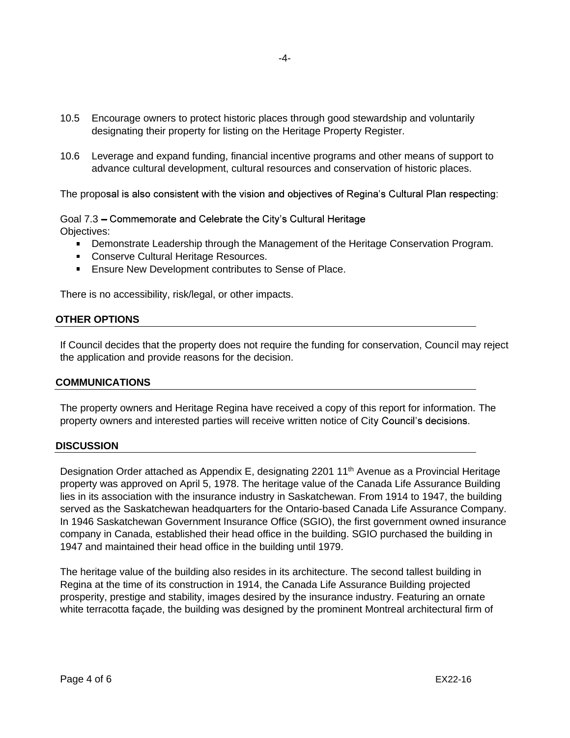- 10.5 Encourage owners to protect historic places through good stewardship and voluntarily designating their property for listing on the Heritage Property Register.
- 10.6 Leverage and expand funding, financial incentive programs and other means of support to advance cultural development, cultural resources and conservation of historic places.

The proposal is also consistent with the vision and objectives of Regina's Cultural Plan respecting:

Goal 7.3 – Commemorate and Celebrate the City's Cultural Heritage Objectives:

- **Demonstrate Leadership through the Management of the Heritage Conservation Program.**
- Conserve Cultural Heritage Resources.
- **Ensure New Development contributes to Sense of Place.**

There is no accessibility, risk/legal, or other impacts.

#### **OTHER OPTIONS**

If Council decides that the property does not require the funding for conservation, Council may reject the application and provide reasons for the decision.

#### **COMMUNICATIONS**

The property owners and Heritage Regina have received a copy of this report for information. The property owners and interested parties will receive written notice of City Council's decisions.

#### **DISCUSSION**

Designation Order attached as Appendix E, designating 2201 11<sup>th</sup> Avenue as a Provincial Heritage property was approved on April 5, 1978. The heritage value of the Canada Life Assurance Building lies in its association with the insurance industry in Saskatchewan. From 1914 to 1947, the building served as the Saskatchewan headquarters for the Ontario-based Canada Life Assurance Company. In 1946 Saskatchewan Government Insurance Office (SGIO), the first government owned insurance company in Canada, established their head office in the building. SGIO purchased the building in 1947 and maintained their head office in the building until 1979.

The heritage value of the building also resides in its architecture. The second tallest building in Regina at the time of its construction in 1914, the Canada Life Assurance Building projected prosperity, prestige and stability, images desired by the insurance industry. Featuring an ornate white terracotta façade, the building was designed by the prominent Montreal architectural firm of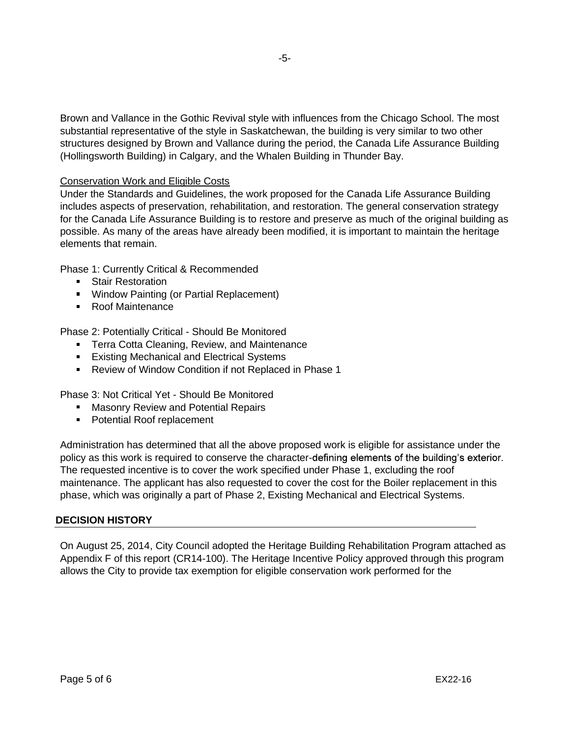Brown and Vallance in the Gothic Revival style with influences from the Chicago School. The most substantial representative of the style in Saskatchewan, the building is very similar to two other structures designed by Brown and Vallance during the period, the Canada Life Assurance Building (Hollingsworth Building) in Calgary, and the Whalen Building in Thunder Bay.

## Conservation Work and Eligible Costs

Under the Standards and Guidelines, the work proposed for the Canada Life Assurance Building includes aspects of preservation, rehabilitation, and restoration. The general conservation strategy for the Canada Life Assurance Building is to restore and preserve as much of the original building as possible. As many of the areas have already been modified, it is important to maintain the heritage elements that remain.

Phase 1: Currently Critical & Recommended

- **Stair Restoration**
- **Window Painting (or Partial Replacement)**
- Roof Maintenance

Phase 2: Potentially Critical - Should Be Monitored

- **Terra Cotta Cleaning, Review, and Maintenance**
- **Existing Mechanical and Electrical Systems**
- Review of Window Condition if not Replaced in Phase 1

Phase 3: Not Critical Yet - Should Be Monitored

- **Masonry Review and Potential Repairs**
- **Potential Roof replacement**

Administration has determined that all the above proposed work is eligible for assistance under the policy as this work is required to conserve the character-defining elements of the building's exterior. The requested incentive is to cover the work specified under Phase 1, excluding the roof maintenance. The applicant has also requested to cover the cost for the Boiler replacement in this phase, which was originally a part of Phase 2, Existing Mechanical and Electrical Systems.

#### **DECISION HISTORY**

On August 25, 2014, City Council adopted the Heritage Building Rehabilitation Program attached as Appendix F of this report (CR14-100). The Heritage Incentive Policy approved through this program allows the City to provide tax exemption for eligible conservation work performed for the